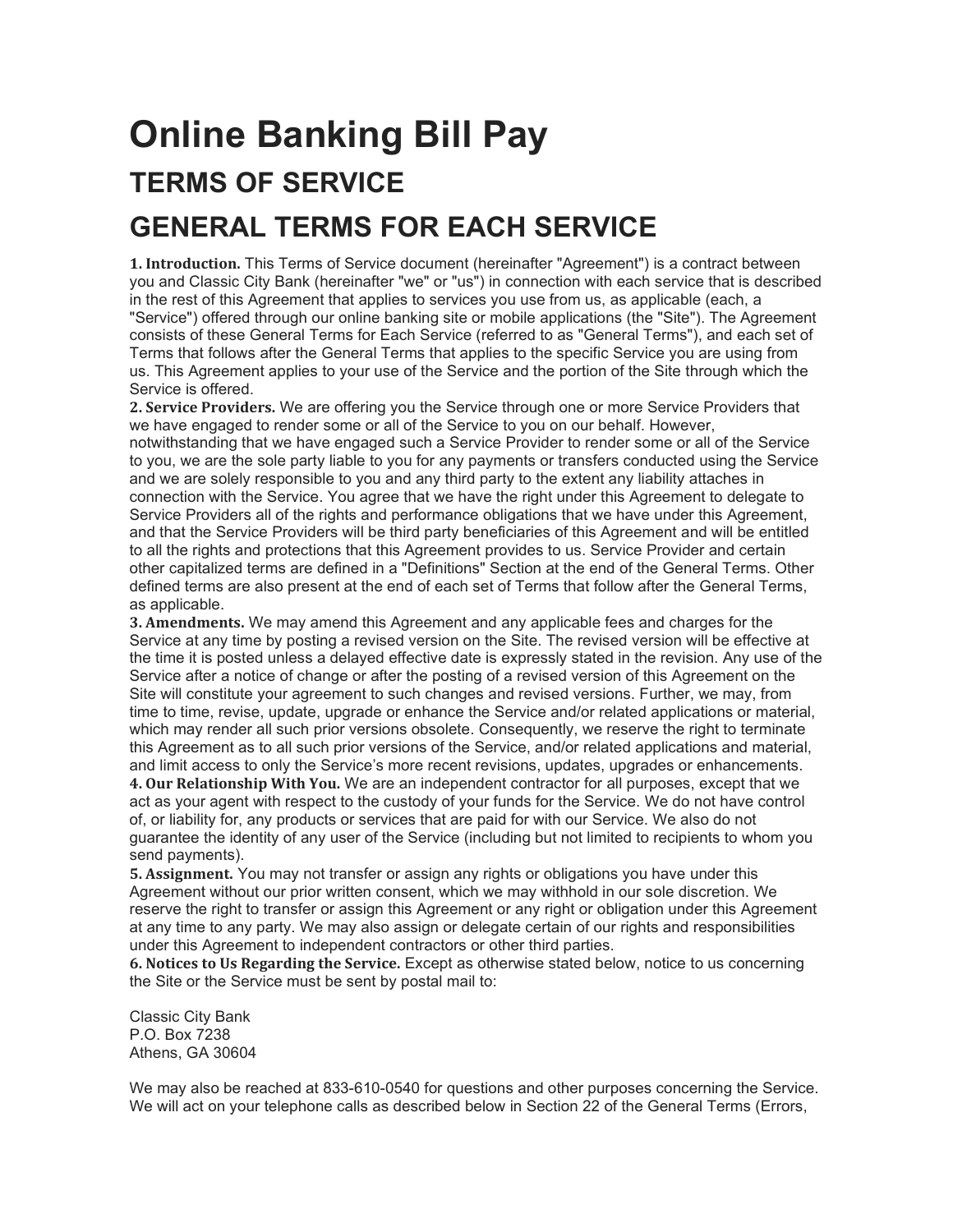## **Online Banking Bill Pay TERMS OF SERVICE GENERAL TERMS FOR EACH SERVICE**

**1. Introduction.** This Terms of Service document (hereinafter "Agreement") is a contract between you and Classic City Bank (hereinafter "we" or "us") in connection with each service that is described in the rest of this Agreement that applies to services you use from us, as applicable (each, a "Service") offered through our online banking site or mobile applications (the "Site"). The Agreement consists of these General Terms for Each Service (referred to as "General Terms"), and each set of Terms that follows after the General Terms that applies to the specific Service you are using from us. This Agreement applies to your use of the Service and the portion of the Site through which the Service is offered.

**2. Service Providers.** We are offering you the Service through one or more Service Providers that we have engaged to render some or all of the Service to you on our behalf. However, notwithstanding that we have engaged such a Service Provider to render some or all of the Service to you, we are the sole party liable to you for any payments or transfers conducted using the Service and we are solely responsible to you and any third party to the extent any liability attaches in connection with the Service. You agree that we have the right under this Agreement to delegate to Service Providers all of the rights and performance obligations that we have under this Agreement, and that the Service Providers will be third party beneficiaries of this Agreement and will be entitled to all the rights and protections that this Agreement provides to us. Service Provider and certain other capitalized terms are defined in a "Definitions" Section at the end of the General Terms. Other defined terms are also present at the end of each set of Terms that follow after the General Terms, as applicable.

**3. Amendments.** We may amend this Agreement and any applicable fees and charges for the Service at any time by posting a revised version on the Site. The revised version will be effective at the time it is posted unless a delayed effective date is expressly stated in the revision. Any use of the Service after a notice of change or after the posting of a revised version of this Agreement on the Site will constitute your agreement to such changes and revised versions. Further, we may, from time to time, revise, update, upgrade or enhance the Service and/or related applications or material, which may render all such prior versions obsolete. Consequently, we reserve the right to terminate this Agreement as to all such prior versions of the Service, and/or related applications and material, and limit access to only the Service's more recent revisions, updates, upgrades or enhancements. **4. Our Relationship With You.** We are an independent contractor for all purposes, except that we act as your agent with respect to the custody of your funds for the Service. We do not have control of, or liability for, any products or services that are paid for with our Service. We also do not guarantee the identity of any user of the Service (including but not limited to recipients to whom you send payments).

**5. Assignment.** You may not transfer or assign any rights or obligations you have under this Agreement without our prior written consent, which we may withhold in our sole discretion. We reserve the right to transfer or assign this Agreement or any right or obligation under this Agreement at any time to any party. We may also assign or delegate certain of our rights and responsibilities under this Agreement to independent contractors or other third parties.

**6. Notices to Us Regarding the Service.** Except as otherwise stated below, notice to us concerning the Site or the Service must be sent by postal mail to:

Classic City Bank P.O. Box 7238 Athens, GA 30604

We may also be reached at 833-610-0540 for questions and other purposes concerning the Service. We will act on your telephone calls as described below in Section 22 of the General Terms (Errors,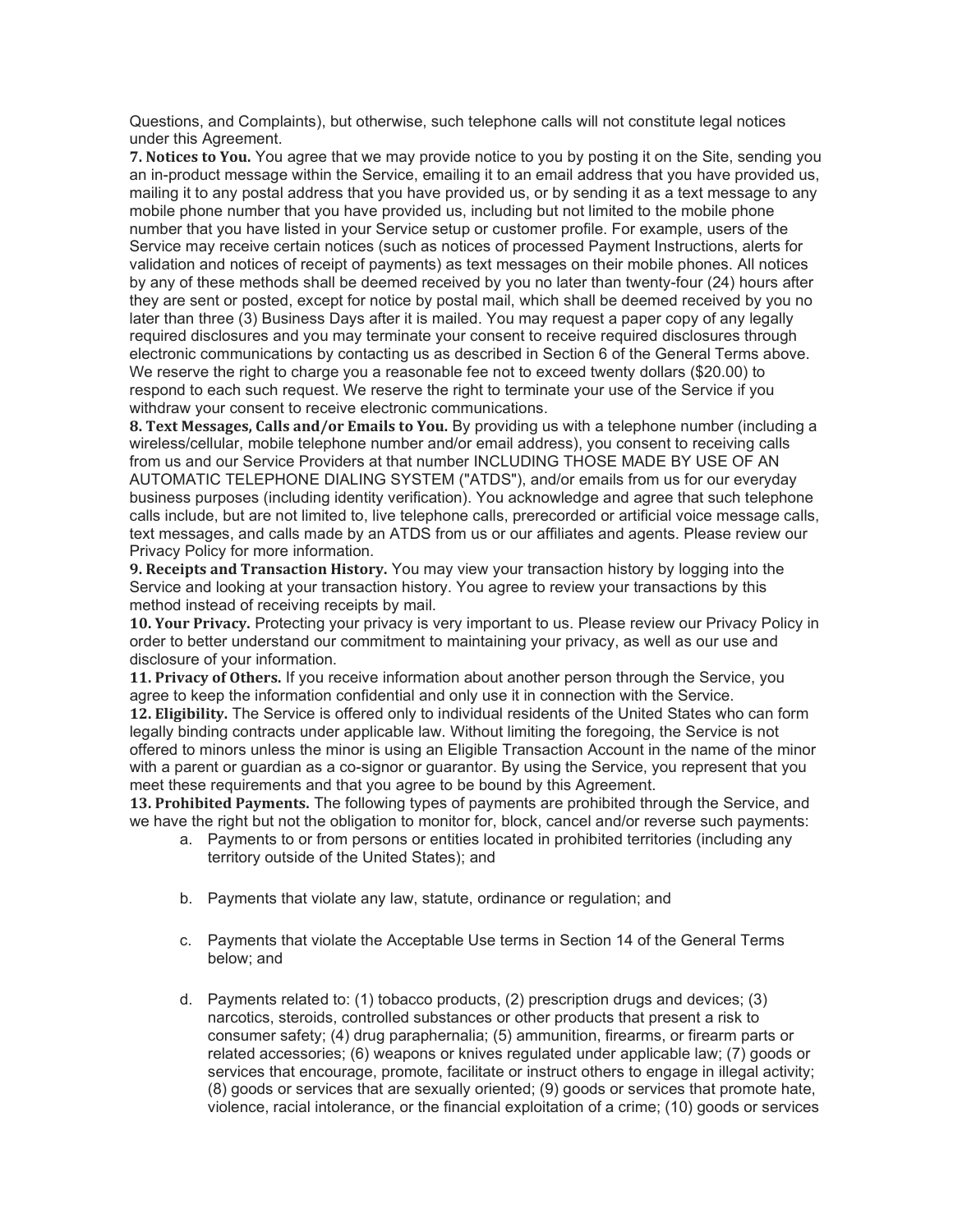Questions, and Complaints), but otherwise, such telephone calls will not constitute legal notices under this Agreement.

**7. Notices to You.** You agree that we may provide notice to you by posting it on the Site, sending you an in-product message within the Service, emailing it to an email address that you have provided us, mailing it to any postal address that you have provided us, or by sending it as a text message to any mobile phone number that you have provided us, including but not limited to the mobile phone number that you have listed in your Service setup or customer profile. For example, users of the Service may receive certain notices (such as notices of processed Payment Instructions, alerts for validation and notices of receipt of payments) as text messages on their mobile phones. All notices by any of these methods shall be deemed received by you no later than twenty-four (24) hours after they are sent or posted, except for notice by postal mail, which shall be deemed received by you no later than three (3) Business Days after it is mailed. You may request a paper copy of any legally required disclosures and you may terminate your consent to receive required disclosures through electronic communications by contacting us as described in Section 6 of the General Terms above. We reserve the right to charge you a reasonable fee not to exceed twenty dollars (\$20.00) to respond to each such request. We reserve the right to terminate your use of the Service if you withdraw your consent to receive electronic communications.

**8. Text Messages, Calls and/or Emails to You.** By providing us with a telephone number (including a wireless/cellular, mobile telephone number and/or email address), you consent to receiving calls from us and our Service Providers at that number INCLUDING THOSE MADE BY USE OF AN AUTOMATIC TELEPHONE DIALING SYSTEM ("ATDS"), and/or emails from us for our everyday business purposes (including identity verification). You acknowledge and agree that such telephone calls include, but are not limited to, live telephone calls, prerecorded or artificial voice message calls, text messages, and calls made by an ATDS from us or our affiliates and agents. Please review our Privacy Policy for more information.

**9. Receipts and Transaction History.** You may view your transaction history by logging into the Service and looking at your transaction history. You agree to review your transactions by this method instead of receiving receipts by mail.

**10. Your Privacy.** Protecting your privacy is very important to us. Please review our Privacy Policy in order to better understand our commitment to maintaining your privacy, as well as our use and disclosure of your information.

**11. Privacy of Others.** If you receive information about another person through the Service, you agree to keep the information confidential and only use it in connection with the Service.

**12. Eligibility.** The Service is offered only to individual residents of the United States who can form legally binding contracts under applicable law. Without limiting the foregoing, the Service is not offered to minors unless the minor is using an Eligible Transaction Account in the name of the minor with a parent or guardian as a co-signor or guarantor. By using the Service, you represent that you meet these requirements and that you agree to be bound by this Agreement.

**13. Prohibited Payments.** The following types of payments are prohibited through the Service, and we have the right but not the obligation to monitor for, block, cancel and/or reverse such payments:

- a. Payments to or from persons or entities located in prohibited territories (including any territory outside of the United States); and
- b. Payments that violate any law, statute, ordinance or regulation; and
- c. Payments that violate the Acceptable Use terms in Section 14 of the General Terms below; and
- d. Payments related to: (1) tobacco products, (2) prescription drugs and devices; (3) narcotics, steroids, controlled substances or other products that present a risk to consumer safety; (4) drug paraphernalia; (5) ammunition, firearms, or firearm parts or related accessories; (6) weapons or knives regulated under applicable law; (7) goods or services that encourage, promote, facilitate or instruct others to engage in illegal activity; (8) goods or services that are sexually oriented; (9) goods or services that promote hate, violence, racial intolerance, or the financial exploitation of a crime; (10) goods or services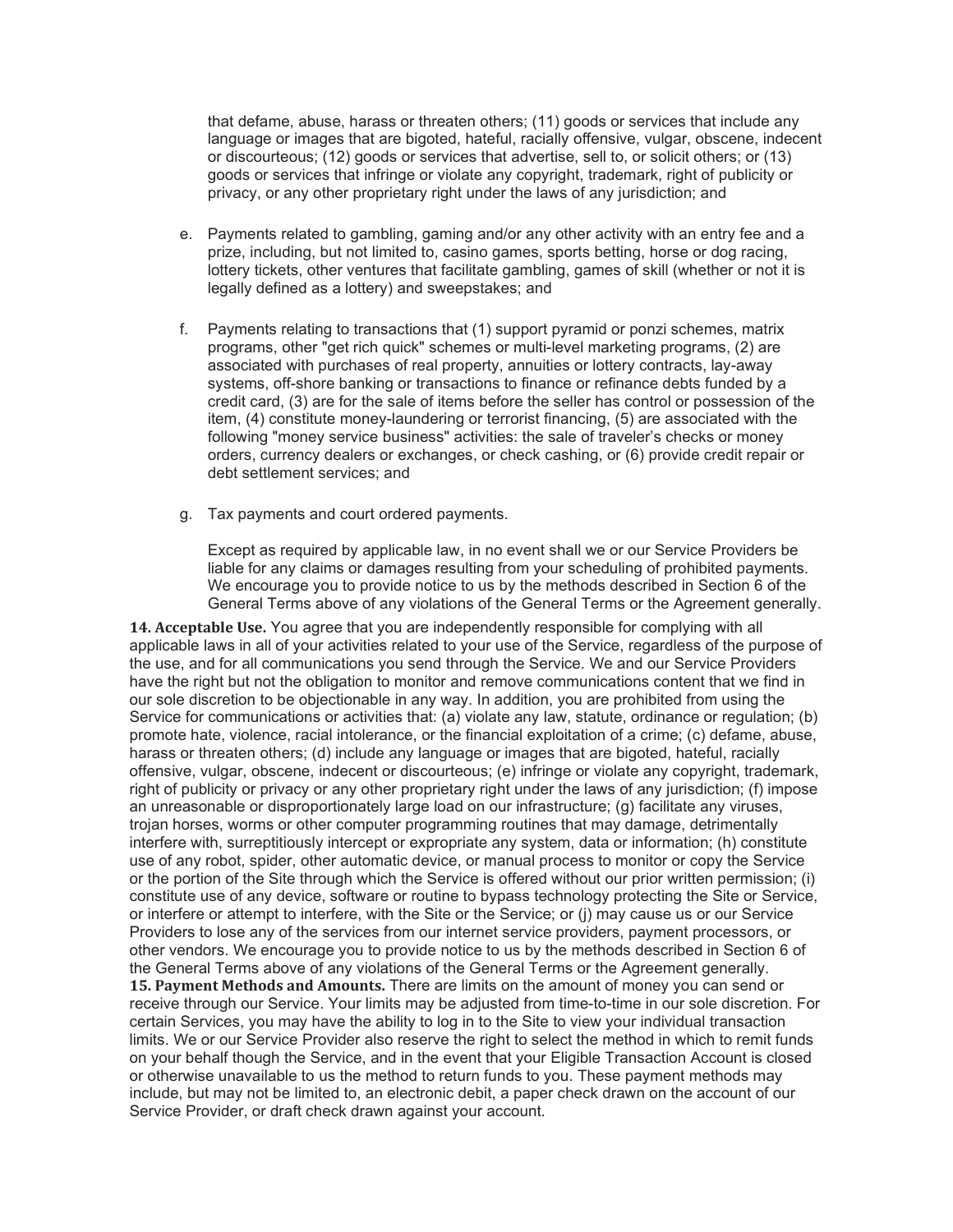that defame, abuse, harass or threaten others; (11) goods or services that include any language or images that are bigoted, hateful, racially offensive, vulgar, obscene, indecent or discourteous; (12) goods or services that advertise, sell to, or solicit others; or (13) goods or services that infringe or violate any copyright, trademark, right of publicity or privacy, or any other proprietary right under the laws of any jurisdiction; and

- e. Payments related to gambling, gaming and/or any other activity with an entry fee and a prize, including, but not limited to, casino games, sports betting, horse or dog racing, lottery tickets, other ventures that facilitate gambling, games of skill (whether or not it is legally defined as a lottery) and sweepstakes; and
- f. Payments relating to transactions that (1) support pyramid or ponzi schemes, matrix programs, other "get rich quick" schemes or multi-level marketing programs, (2) are associated with purchases of real property, annuities or lottery contracts, lay-away systems, off-shore banking or transactions to finance or refinance debts funded by a credit card, (3) are for the sale of items before the seller has control or possession of the item, (4) constitute money-laundering or terrorist financing, (5) are associated with the following "money service business" activities: the sale of traveler's checks or money orders, currency dealers or exchanges, or check cashing, or (6) provide credit repair or debt settlement services; and
- g. Tax payments and court ordered payments.

Except as required by applicable law, in no event shall we or our Service Providers be liable for any claims or damages resulting from your scheduling of prohibited payments. We encourage you to provide notice to us by the methods described in Section 6 of the General Terms above of any violations of the General Terms or the Agreement generally.

**14. Acceptable Use.** You agree that you are independently responsible for complying with all applicable laws in all of your activities related to your use of the Service, regardless of the purpose of the use, and for all communications you send through the Service. We and our Service Providers have the right but not the obligation to monitor and remove communications content that we find in our sole discretion to be objectionable in any way. In addition, you are prohibited from using the Service for communications or activities that: (a) violate any law, statute, ordinance or regulation; (b) promote hate, violence, racial intolerance, or the financial exploitation of a crime; (c) defame, abuse, harass or threaten others; (d) include any language or images that are bigoted, hateful, racially offensive, vulgar, obscene, indecent or discourteous; (e) infringe or violate any copyright, trademark, right of publicity or privacy or any other proprietary right under the laws of any jurisdiction; (f) impose an unreasonable or disproportionately large load on our infrastructure; (g) facilitate any viruses, trojan horses, worms or other computer programming routines that may damage, detrimentally interfere with, surreptitiously intercept or expropriate any system, data or information; (h) constitute use of any robot, spider, other automatic device, or manual process to monitor or copy the Service or the portion of the Site through which the Service is offered without our prior written permission; (i) constitute use of any device, software or routine to bypass technology protecting the Site or Service, or interfere or attempt to interfere, with the Site or the Service; or (j) may cause us or our Service Providers to lose any of the services from our internet service providers, payment processors, or other vendors. We encourage you to provide notice to us by the methods described in Section 6 of the General Terms above of any violations of the General Terms or the Agreement generally. **15. Payment Methods and Amounts.** There are limits on the amount of money you can send or receive through our Service. Your limits may be adjusted from time-to-time in our sole discretion. For certain Services, you may have the ability to log in to the Site to view your individual transaction limits. We or our Service Provider also reserve the right to select the method in which to remit funds on your behalf though the Service, and in the event that your Eligible Transaction Account is closed or otherwise unavailable to us the method to return funds to you. These payment methods may include, but may not be limited to, an electronic debit, a paper check drawn on the account of our Service Provider, or draft check drawn against your account.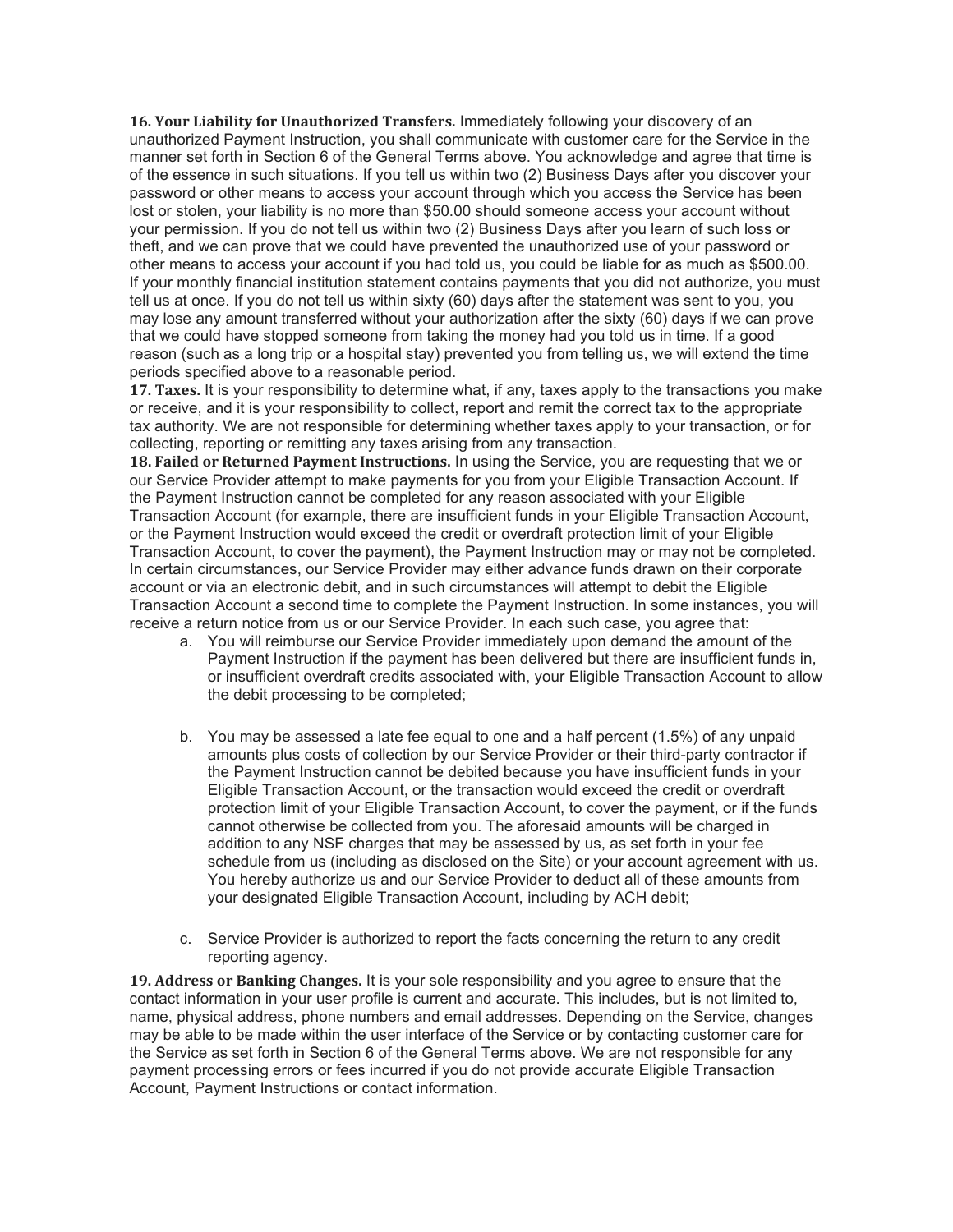**16. Your Liability for Unauthorized Transfers.** Immediately following your discovery of an unauthorized Payment Instruction, you shall communicate with customer care for the Service in the manner set forth in Section 6 of the General Terms above. You acknowledge and agree that time is of the essence in such situations. If you tell us within two (2) Business Days after you discover your password or other means to access your account through which you access the Service has been lost or stolen, your liability is no more than \$50.00 should someone access your account without your permission. If you do not tell us within two (2) Business Days after you learn of such loss or theft, and we can prove that we could have prevented the unauthorized use of your password or other means to access your account if you had told us, you could be liable for as much as \$500.00. If your monthly financial institution statement contains payments that you did not authorize, you must tell us at once. If you do not tell us within sixty (60) days after the statement was sent to you, you may lose any amount transferred without your authorization after the sixty (60) days if we can prove that we could have stopped someone from taking the money had you told us in time. If a good reason (such as a long trip or a hospital stay) prevented you from telling us, we will extend the time periods specified above to a reasonable period.

**17. Taxes.** It is your responsibility to determine what, if any, taxes apply to the transactions you make or receive, and it is your responsibility to collect, report and remit the correct tax to the appropriate tax authority. We are not responsible for determining whether taxes apply to your transaction, or for collecting, reporting or remitting any taxes arising from any transaction.

**18. Failed or Returned Payment Instructions.** In using the Service, you are requesting that we or our Service Provider attempt to make payments for you from your Eligible Transaction Account. If the Payment Instruction cannot be completed for any reason associated with your Eligible Transaction Account (for example, there are insufficient funds in your Eligible Transaction Account, or the Payment Instruction would exceed the credit or overdraft protection limit of your Eligible Transaction Account, to cover the payment), the Payment Instruction may or may not be completed. In certain circumstances, our Service Provider may either advance funds drawn on their corporate account or via an electronic debit, and in such circumstances will attempt to debit the Eligible Transaction Account a second time to complete the Payment Instruction. In some instances, you will receive a return notice from us or our Service Provider. In each such case, you agree that:

- a. You will reimburse our Service Provider immediately upon demand the amount of the Payment Instruction if the payment has been delivered but there are insufficient funds in, or insufficient overdraft credits associated with, your Eligible Transaction Account to allow the debit processing to be completed;
- b. You may be assessed a late fee equal to one and a half percent (1.5%) of any unpaid amounts plus costs of collection by our Service Provider or their third-party contractor if the Payment Instruction cannot be debited because you have insufficient funds in your Eligible Transaction Account, or the transaction would exceed the credit or overdraft protection limit of your Eligible Transaction Account, to cover the payment, or if the funds cannot otherwise be collected from you. The aforesaid amounts will be charged in addition to any NSF charges that may be assessed by us, as set forth in your fee schedule from us (including as disclosed on the Site) or your account agreement with us. You hereby authorize us and our Service Provider to deduct all of these amounts from your designated Eligible Transaction Account, including by ACH debit;
- c. Service Provider is authorized to report the facts concerning the return to any credit reporting agency.

**19. Address or Banking Changes.** It is your sole responsibility and you agree to ensure that the contact information in your user profile is current and accurate. This includes, but is not limited to, name, physical address, phone numbers and email addresses. Depending on the Service, changes may be able to be made within the user interface of the Service or by contacting customer care for the Service as set forth in Section 6 of the General Terms above. We are not responsible for any payment processing errors or fees incurred if you do not provide accurate Eligible Transaction Account, Payment Instructions or contact information.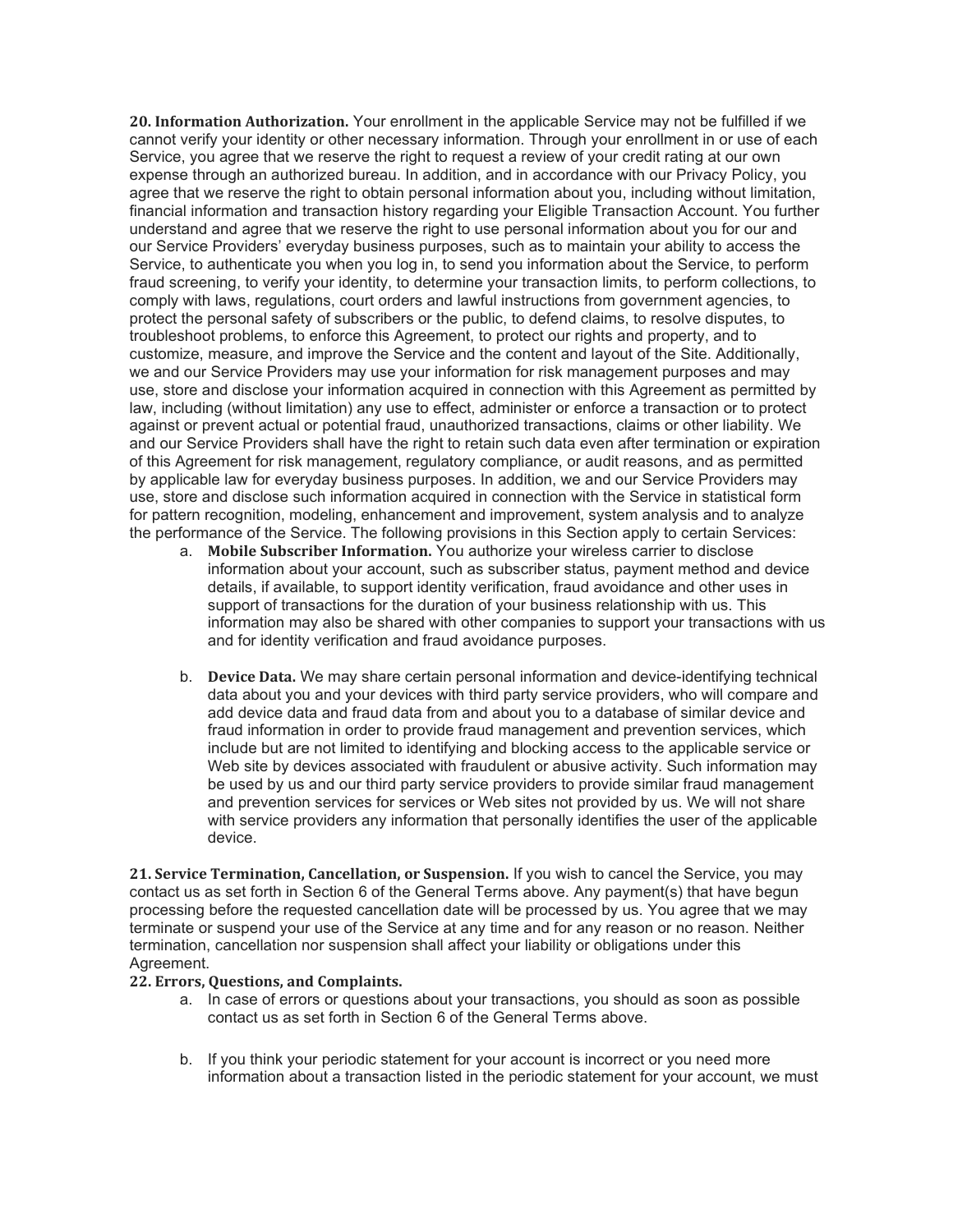**20. Information Authorization.** Your enrollment in the applicable Service may not be fulfilled if we cannot verify your identity or other necessary information. Through your enrollment in or use of each Service, you agree that we reserve the right to request a review of your credit rating at our own expense through an authorized bureau. In addition, and in accordance with our Privacy Policy, you agree that we reserve the right to obtain personal information about you, including without limitation, financial information and transaction history regarding your Eligible Transaction Account. You further understand and agree that we reserve the right to use personal information about you for our and our Service Providers' everyday business purposes, such as to maintain your ability to access the Service, to authenticate you when you log in, to send you information about the Service, to perform fraud screening, to verify your identity, to determine your transaction limits, to perform collections, to comply with laws, regulations, court orders and lawful instructions from government agencies, to protect the personal safety of subscribers or the public, to defend claims, to resolve disputes, to troubleshoot problems, to enforce this Agreement, to protect our rights and property, and to customize, measure, and improve the Service and the content and layout of the Site. Additionally, we and our Service Providers may use your information for risk management purposes and may use, store and disclose your information acquired in connection with this Agreement as permitted by law, including (without limitation) any use to effect, administer or enforce a transaction or to protect against or prevent actual or potential fraud, unauthorized transactions, claims or other liability. We and our Service Providers shall have the right to retain such data even after termination or expiration of this Agreement for risk management, regulatory compliance, or audit reasons, and as permitted by applicable law for everyday business purposes. In addition, we and our Service Providers may use, store and disclose such information acquired in connection with the Service in statistical form for pattern recognition, modeling, enhancement and improvement, system analysis and to analyze the performance of the Service. The following provisions in this Section apply to certain Services:

- a. **Mobile Subscriber Information.** You authorize your wireless carrier to disclose information about your account, such as subscriber status, payment method and device details, if available, to support identity verification, fraud avoidance and other uses in support of transactions for the duration of your business relationship with us. This information may also be shared with other companies to support your transactions with us and for identity verification and fraud avoidance purposes.
- b. **Device Data.** We may share certain personal information and device-identifying technical data about you and your devices with third party service providers, who will compare and add device data and fraud data from and about you to a database of similar device and fraud information in order to provide fraud management and prevention services, which include but are not limited to identifying and blocking access to the applicable service or Web site by devices associated with fraudulent or abusive activity. Such information may be used by us and our third party service providers to provide similar fraud management and prevention services for services or Web sites not provided by us. We will not share with service providers any information that personally identifies the user of the applicable device.

**21. Service Termination, Cancellation, or Suspension.** If you wish to cancel the Service, you may contact us as set forth in Section 6 of the General Terms above. Any payment(s) that have begun processing before the requested cancellation date will be processed by us. You agree that we may terminate or suspend your use of the Service at any time and for any reason or no reason. Neither termination, cancellation nor suspension shall affect your liability or obligations under this Agreement.

## **22. Errors, Questions, and Complaints.**

- a. In case of errors or questions about your transactions, you should as soon as possible contact us as set forth in Section 6 of the General Terms above.
- b. If you think your periodic statement for your account is incorrect or you need more information about a transaction listed in the periodic statement for your account, we must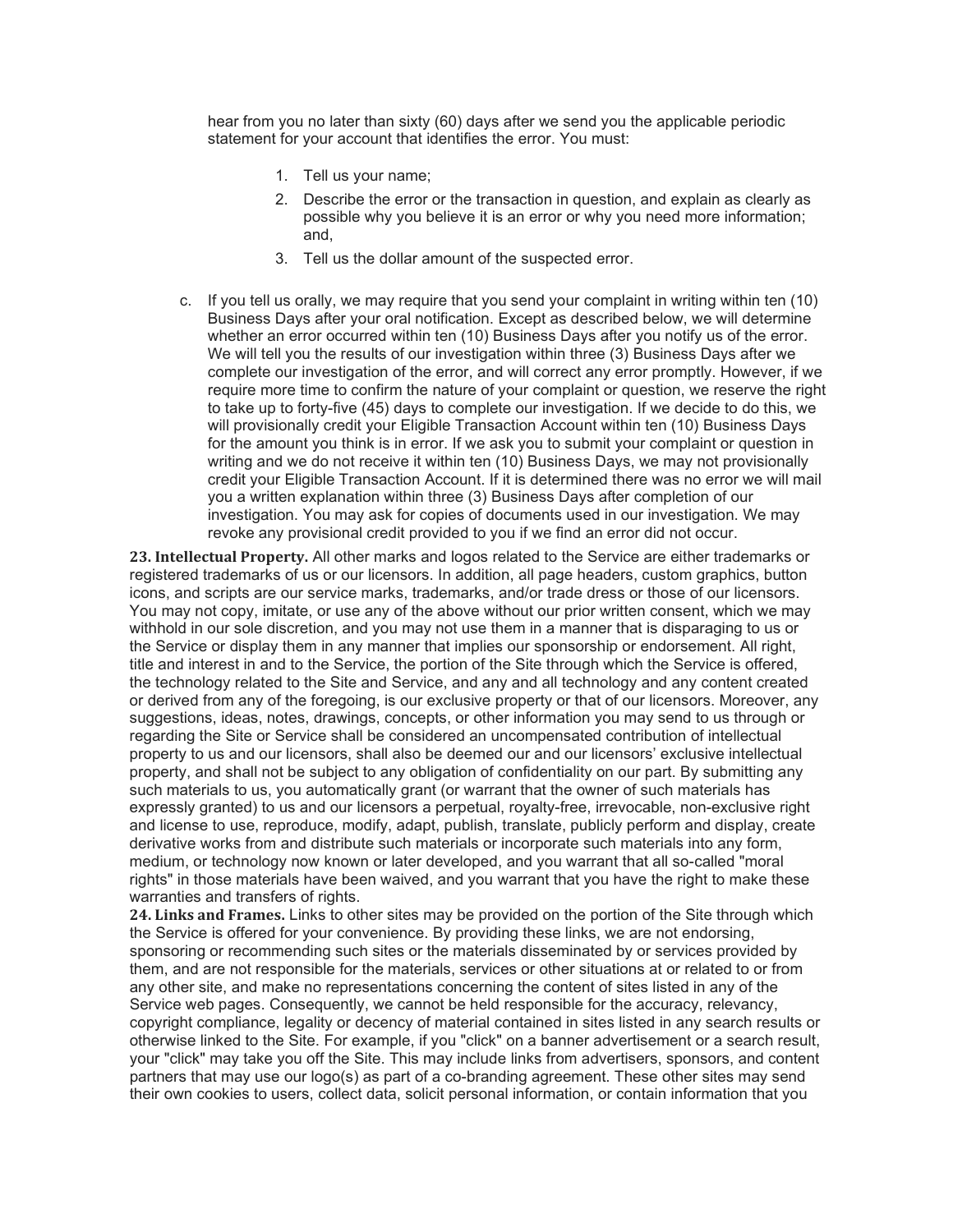hear from you no later than sixty (60) days after we send you the applicable periodic statement for your account that identifies the error. You must:

- 1. Tell us your name;
- 2. Describe the error or the transaction in question, and explain as clearly as possible why you believe it is an error or why you need more information; and,
- 3. Tell us the dollar amount of the suspected error.
- c. If you tell us orally, we may require that you send your complaint in writing within ten (10) Business Days after your oral notification. Except as described below, we will determine whether an error occurred within ten (10) Business Days after you notify us of the error. We will tell you the results of our investigation within three (3) Business Days after we complete our investigation of the error, and will correct any error promptly. However, if we require more time to confirm the nature of your complaint or question, we reserve the right to take up to forty-five (45) days to complete our investigation. If we decide to do this, we will provisionally credit your Eligible Transaction Account within ten (10) Business Days for the amount you think is in error. If we ask you to submit your complaint or question in writing and we do not receive it within ten (10) Business Days, we may not provisionally credit your Eligible Transaction Account. If it is determined there was no error we will mail you a written explanation within three (3) Business Days after completion of our investigation. You may ask for copies of documents used in our investigation. We may revoke any provisional credit provided to you if we find an error did not occur.

**23. Intellectual Property.** All other marks and logos related to the Service are either trademarks or registered trademarks of us or our licensors. In addition, all page headers, custom graphics, button icons, and scripts are our service marks, trademarks, and/or trade dress or those of our licensors. You may not copy, imitate, or use any of the above without our prior written consent, which we may withhold in our sole discretion, and you may not use them in a manner that is disparaging to us or the Service or display them in any manner that implies our sponsorship or endorsement. All right, title and interest in and to the Service, the portion of the Site through which the Service is offered, the technology related to the Site and Service, and any and all technology and any content created or derived from any of the foregoing, is our exclusive property or that of our licensors. Moreover, any suggestions, ideas, notes, drawings, concepts, or other information you may send to us through or regarding the Site or Service shall be considered an uncompensated contribution of intellectual property to us and our licensors, shall also be deemed our and our licensors' exclusive intellectual property, and shall not be subject to any obligation of confidentiality on our part. By submitting any such materials to us, you automatically grant (or warrant that the owner of such materials has expressly granted) to us and our licensors a perpetual, royalty-free, irrevocable, non-exclusive right and license to use, reproduce, modify, adapt, publish, translate, publicly perform and display, create derivative works from and distribute such materials or incorporate such materials into any form, medium, or technology now known or later developed, and you warrant that all so-called "moral rights" in those materials have been waived, and you warrant that you have the right to make these warranties and transfers of rights.

**24. Links and Frames.** Links to other sites may be provided on the portion of the Site through which the Service is offered for your convenience. By providing these links, we are not endorsing, sponsoring or recommending such sites or the materials disseminated by or services provided by them, and are not responsible for the materials, services or other situations at or related to or from any other site, and make no representations concerning the content of sites listed in any of the Service web pages. Consequently, we cannot be held responsible for the accuracy, relevancy, copyright compliance, legality or decency of material contained in sites listed in any search results or otherwise linked to the Site. For example, if you "click" on a banner advertisement or a search result, your "click" may take you off the Site. This may include links from advertisers, sponsors, and content partners that may use our logo(s) as part of a co-branding agreement. These other sites may send their own cookies to users, collect data, solicit personal information, or contain information that you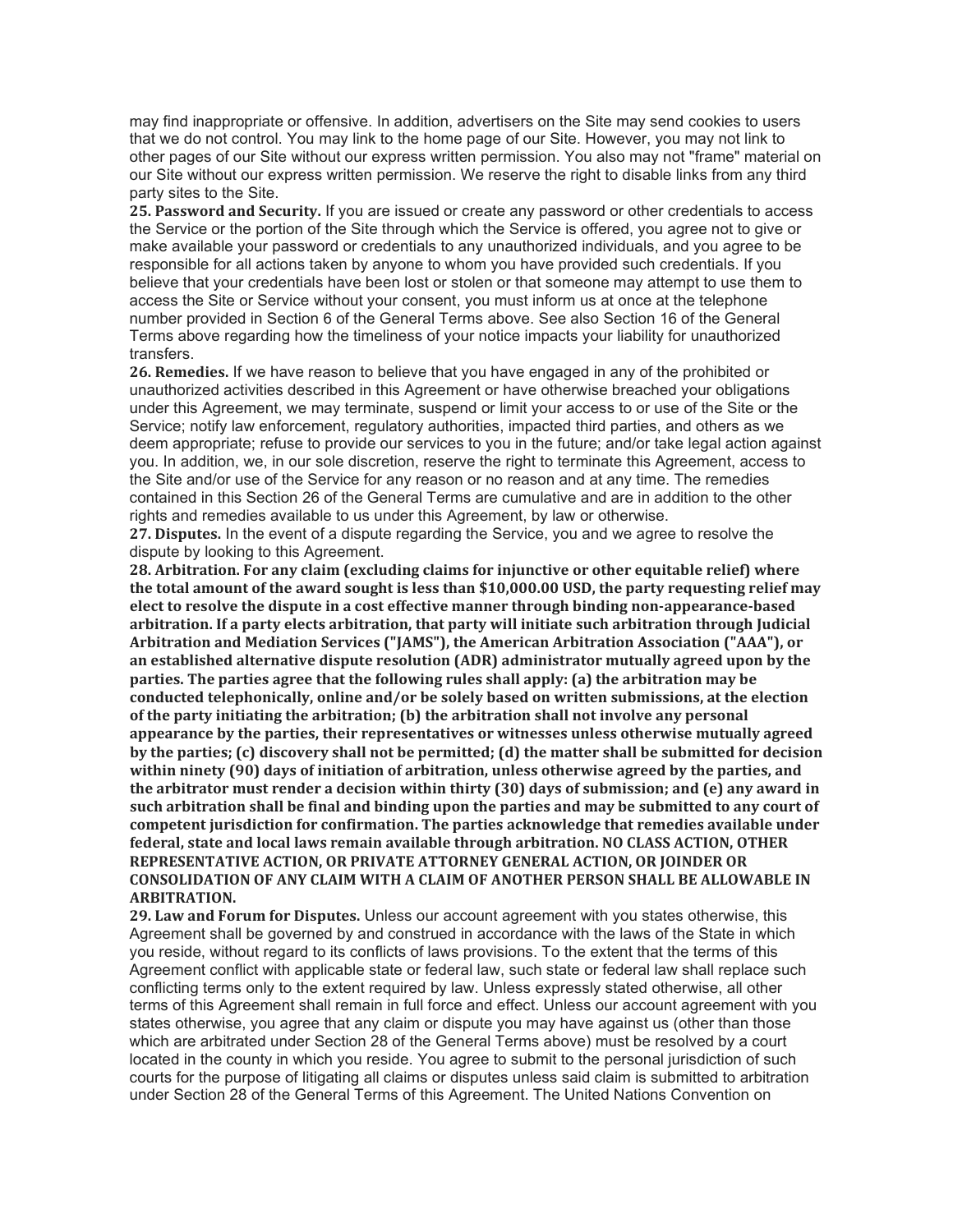may find inappropriate or offensive. In addition, advertisers on the Site may send cookies to users that we do not control. You may link to the home page of our Site. However, you may not link to other pages of our Site without our express written permission. You also may not "frame" material on our Site without our express written permission. We reserve the right to disable links from any third party sites to the Site.

**25. Password and Security.** If you are issued or create any password or other credentials to access the Service or the portion of the Site through which the Service is offered, you agree not to give or make available your password or credentials to any unauthorized individuals, and you agree to be responsible for all actions taken by anyone to whom you have provided such credentials. If you believe that your credentials have been lost or stolen or that someone may attempt to use them to access the Site or Service without your consent, you must inform us at once at the telephone number provided in Section 6 of the General Terms above. See also Section 16 of the General Terms above regarding how the timeliness of your notice impacts your liability for unauthorized transfers.

**26. Remedies.** If we have reason to believe that you have engaged in any of the prohibited or unauthorized activities described in this Agreement or have otherwise breached your obligations under this Agreement, we may terminate, suspend or limit your access to or use of the Site or the Service; notify law enforcement, regulatory authorities, impacted third parties, and others as we deem appropriate; refuse to provide our services to you in the future; and/or take legal action against you. In addition, we, in our sole discretion, reserve the right to terminate this Agreement, access to the Site and/or use of the Service for any reason or no reason and at any time. The remedies contained in this Section 26 of the General Terms are cumulative and are in addition to the other rights and remedies available to us under this Agreement, by law or otherwise.

**27. Disputes.** In the event of a dispute regarding the Service, you and we agree to resolve the dispute by looking to this Agreement.

**28. Arbitration. For any claim (excluding claims for injunctive or other equitable relief) where the total amount of the award sought is less than \$10,000.00 USD, the party requesting relief may elect to resolve the dispute in a cost effective manner through binding non-appearance-based arbitration. If a party elects arbitration, that party will initiate such arbitration through Judicial Arbitration and Mediation Services ("JAMS"), the American Arbitration Association ("AAA"), or an established alternative dispute resolution (ADR) administrator mutually agreed upon by the parties. The parties agree that the following rules shall apply: (a) the arbitration may be conducted telephonically, online and/or be solely based on written submissions, at the election of the party initiating the arbitration; (b) the arbitration shall not involve any personal appearance by the parties, their representatives or witnesses unless otherwise mutually agreed by the parties; (c) discovery shall not be permitted; (d) the matter shall be submitted for decision within ninety (90) days of initiation of arbitration, unless otherwise agreed by the parties, and the arbitrator must render a decision within thirty (30) days of submission; and (e) any award in such arbitration shall be final and binding upon the parties and may be submitted to any court of competent jurisdiction for confirmation. The parties acknowledge that remedies available under federal, state and local laws remain available through arbitration. NO CLASS ACTION, OTHER REPRESENTATIVE ACTION, OR PRIVATE ATTORNEY GENERAL ACTION, OR JOINDER OR CONSOLIDATION OF ANY CLAIM WITH A CLAIM OF ANOTHER PERSON SHALL BE ALLOWABLE IN ARBITRATION.**

**29. Law and Forum for Disputes.** Unless our account agreement with you states otherwise, this Agreement shall be governed by and construed in accordance with the laws of the State in which you reside, without regard to its conflicts of laws provisions. To the extent that the terms of this Agreement conflict with applicable state or federal law, such state or federal law shall replace such conflicting terms only to the extent required by law. Unless expressly stated otherwise, all other terms of this Agreement shall remain in full force and effect. Unless our account agreement with you states otherwise, you agree that any claim or dispute you may have against us (other than those which are arbitrated under Section 28 of the General Terms above) must be resolved by a court located in the county in which you reside. You agree to submit to the personal jurisdiction of such courts for the purpose of litigating all claims or disputes unless said claim is submitted to arbitration under Section 28 of the General Terms of this Agreement. The United Nations Convention on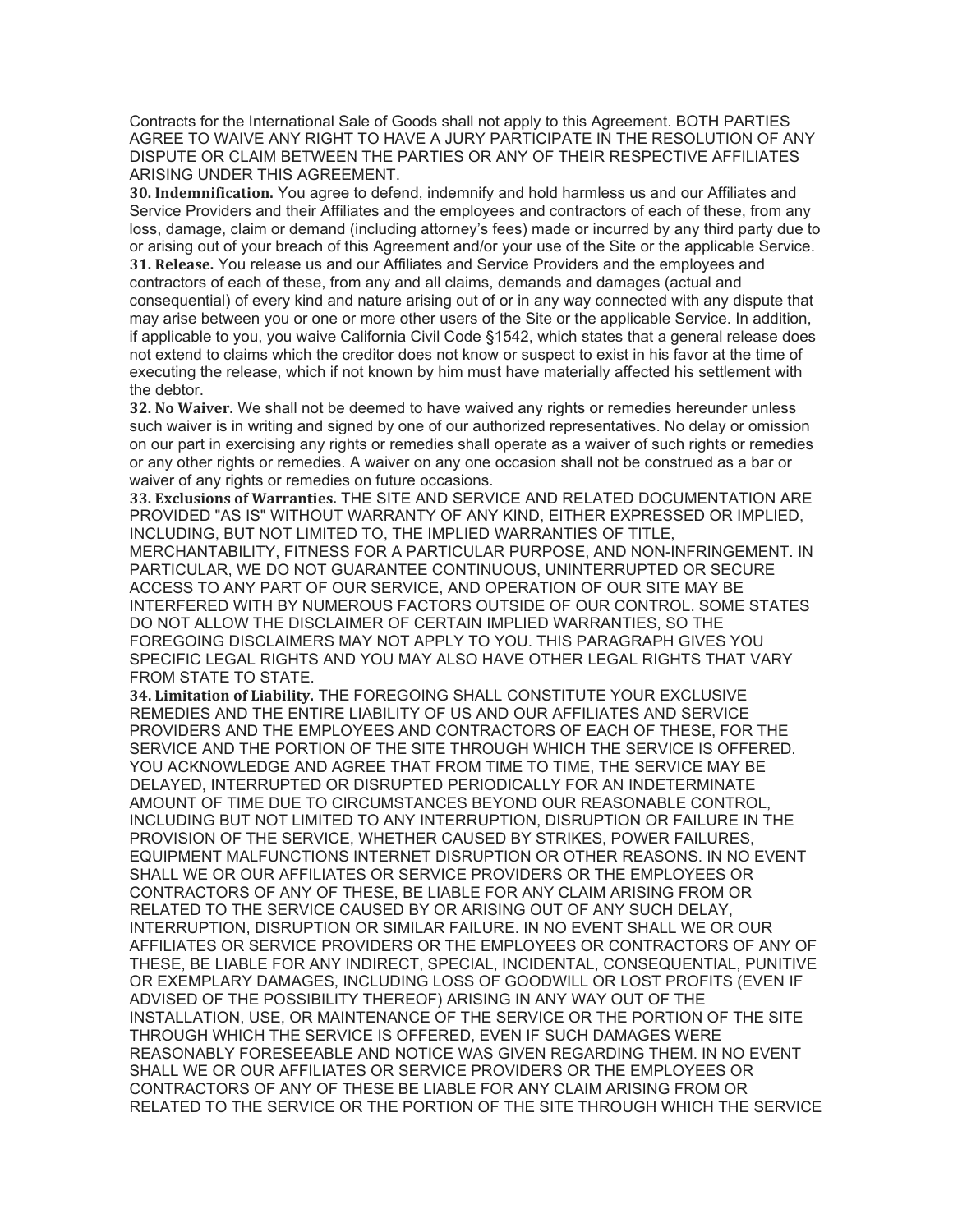Contracts for the International Sale of Goods shall not apply to this Agreement. BOTH PARTIES AGREE TO WAIVE ANY RIGHT TO HAVE A JURY PARTICIPATE IN THE RESOLUTION OF ANY DISPUTE OR CLAIM BETWEEN THE PARTIES OR ANY OF THEIR RESPECTIVE AFFILIATES ARISING UNDER THIS AGREEMENT.

**30. Indemnification.** You agree to defend, indemnify and hold harmless us and our Affiliates and Service Providers and their Affiliates and the employees and contractors of each of these, from any loss, damage, claim or demand (including attorney's fees) made or incurred by any third party due to or arising out of your breach of this Agreement and/or your use of the Site or the applicable Service. **31. Release.** You release us and our Affiliates and Service Providers and the employees and contractors of each of these, from any and all claims, demands and damages (actual and consequential) of every kind and nature arising out of or in any way connected with any dispute that may arise between you or one or more other users of the Site or the applicable Service. In addition, if applicable to you, you waive California Civil Code §1542, which states that a general release does not extend to claims which the creditor does not know or suspect to exist in his favor at the time of executing the release, which if not known by him must have materially affected his settlement with the debtor.

**32. No Waiver.** We shall not be deemed to have waived any rights or remedies hereunder unless such waiver is in writing and signed by one of our authorized representatives. No delay or omission on our part in exercising any rights or remedies shall operate as a waiver of such rights or remedies or any other rights or remedies. A waiver on any one occasion shall not be construed as a bar or waiver of any rights or remedies on future occasions.

**33. Exclusions of Warranties.** THE SITE AND SERVICE AND RELATED DOCUMENTATION ARE PROVIDED "AS IS" WITHOUT WARRANTY OF ANY KIND, EITHER EXPRESSED OR IMPLIED, INCLUDING, BUT NOT LIMITED TO, THE IMPLIED WARRANTIES OF TITLE,

MERCHANTABILITY, FITNESS FOR A PARTICULAR PURPOSE, AND NON-INFRINGEMENT. IN PARTICULAR, WE DO NOT GUARANTEE CONTINUOUS, UNINTERRUPTED OR SECURE ACCESS TO ANY PART OF OUR SERVICE, AND OPERATION OF OUR SITE MAY BE INTERFERED WITH BY NUMEROUS FACTORS OUTSIDE OF OUR CONTROL. SOME STATES DO NOT ALLOW THE DISCLAIMER OF CERTAIN IMPLIED WARRANTIES, SO THE FOREGOING DISCLAIMERS MAY NOT APPLY TO YOU. THIS PARAGRAPH GIVES YOU SPECIFIC LEGAL RIGHTS AND YOU MAY ALSO HAVE OTHER LEGAL RIGHTS THAT VARY FROM STATE TO STATE.

**34. Limitation of Liability.** THE FOREGOING SHALL CONSTITUTE YOUR EXCLUSIVE REMEDIES AND THE ENTIRE LIABILITY OF US AND OUR AFFILIATES AND SERVICE PROVIDERS AND THE EMPLOYEES AND CONTRACTORS OF EACH OF THESE, FOR THE SERVICE AND THE PORTION OF THE SITE THROUGH WHICH THE SERVICE IS OFFERED. YOU ACKNOWLEDGE AND AGREE THAT FROM TIME TO TIME, THE SERVICE MAY BE DELAYED, INTERRUPTED OR DISRUPTED PERIODICALLY FOR AN INDETERMINATE AMOUNT OF TIME DUE TO CIRCUMSTANCES BEYOND OUR REASONABLE CONTROL, INCLUDING BUT NOT LIMITED TO ANY INTERRUPTION, DISRUPTION OR FAILURE IN THE PROVISION OF THE SERVICE, WHETHER CAUSED BY STRIKES, POWER FAILURES, EQUIPMENT MALFUNCTIONS INTERNET DISRUPTION OR OTHER REASONS. IN NO EVENT SHALL WE OR OUR AFFILIATES OR SERVICE PROVIDERS OR THE EMPLOYEES OR CONTRACTORS OF ANY OF THESE, BE LIABLE FOR ANY CLAIM ARISING FROM OR RELATED TO THE SERVICE CAUSED BY OR ARISING OUT OF ANY SUCH DELAY, INTERRUPTION, DISRUPTION OR SIMILAR FAILURE. IN NO EVENT SHALL WE OR OUR AFFILIATES OR SERVICE PROVIDERS OR THE EMPLOYEES OR CONTRACTORS OF ANY OF THESE, BE LIABLE FOR ANY INDIRECT, SPECIAL, INCIDENTAL, CONSEQUENTIAL, PUNITIVE OR EXEMPLARY DAMAGES, INCLUDING LOSS OF GOODWILL OR LOST PROFITS (EVEN IF ADVISED OF THE POSSIBILITY THEREOF) ARISING IN ANY WAY OUT OF THE INSTALLATION, USE, OR MAINTENANCE OF THE SERVICE OR THE PORTION OF THE SITE THROUGH WHICH THE SERVICE IS OFFERED, EVEN IF SUCH DAMAGES WERE REASONABLY FORESEEABLE AND NOTICE WAS GIVEN REGARDING THEM. IN NO EVENT SHALL WE OR OUR AFFILIATES OR SERVICE PROVIDERS OR THE EMPLOYEES OR CONTRACTORS OF ANY OF THESE BE LIABLE FOR ANY CLAIM ARISING FROM OR RELATED TO THE SERVICE OR THE PORTION OF THE SITE THROUGH WHICH THE SERVICE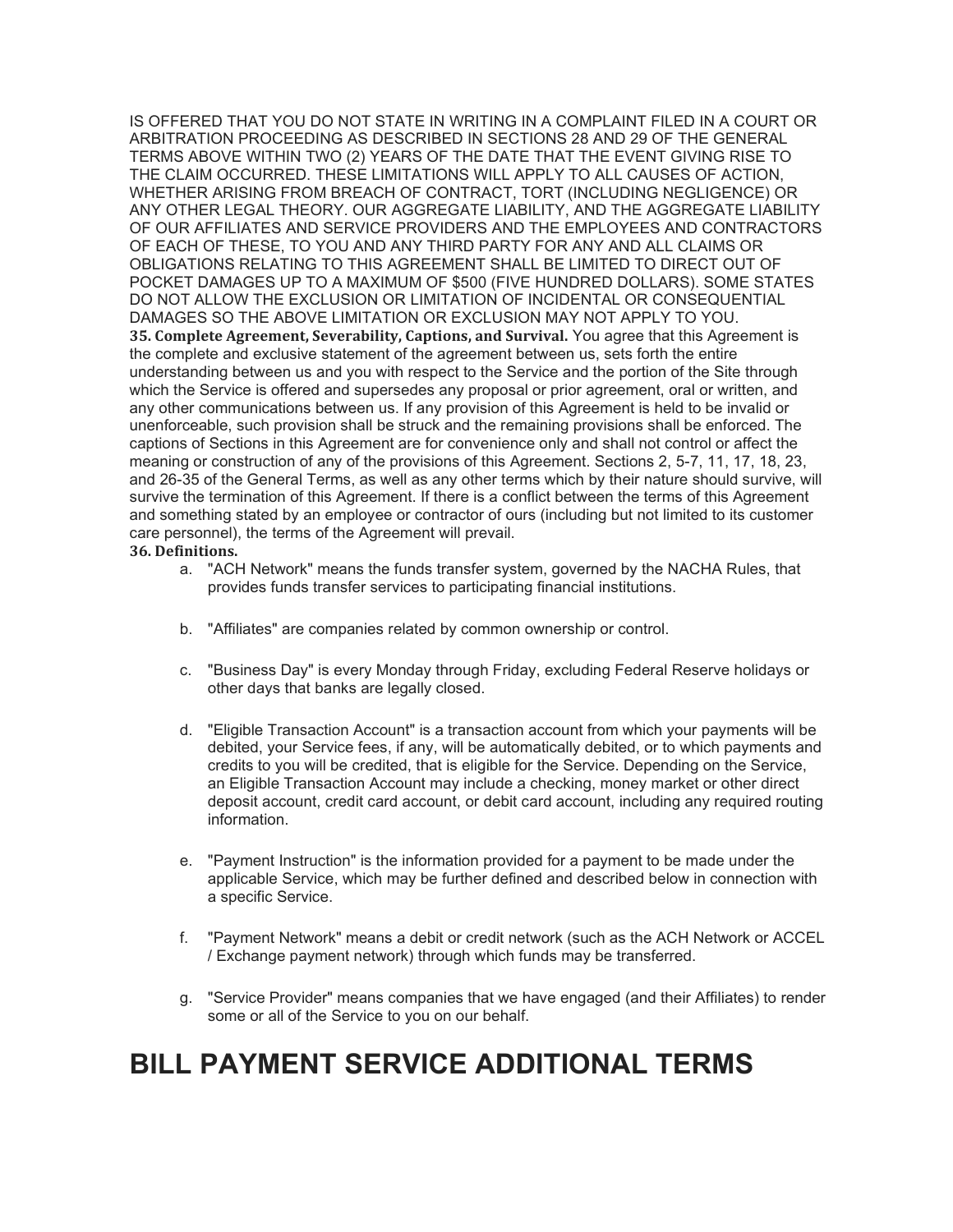IS OFFERED THAT YOU DO NOT STATE IN WRITING IN A COMPLAINT FILED IN A COURT OR ARBITRATION PROCEEDING AS DESCRIBED IN SECTIONS 28 AND 29 OF THE GENERAL TERMS ABOVE WITHIN TWO (2) YEARS OF THE DATE THAT THE EVENT GIVING RISE TO THE CLAIM OCCURRED. THESE LIMITATIONS WILL APPLY TO ALL CAUSES OF ACTION, WHETHER ARISING FROM BREACH OF CONTRACT, TORT (INCLUDING NEGLIGENCE) OR ANY OTHER LEGAL THEORY. OUR AGGREGATE LIABILITY, AND THE AGGREGATE LIABILITY OF OUR AFFILIATES AND SERVICE PROVIDERS AND THE EMPLOYEES AND CONTRACTORS OF EACH OF THESE, TO YOU AND ANY THIRD PARTY FOR ANY AND ALL CLAIMS OR OBLIGATIONS RELATING TO THIS AGREEMENT SHALL BE LIMITED TO DIRECT OUT OF POCKET DAMAGES UP TO A MAXIMUM OF \$500 (FIVE HUNDRED DOLLARS). SOME STATES DO NOT ALLOW THE EXCLUSION OR LIMITATION OF INCIDENTAL OR CONSEQUENTIAL DAMAGES SO THE ABOVE LIMITATION OR EXCLUSION MAY NOT APPLY TO YOU. **35. Complete Agreement, Severability, Captions, and Survival.** You agree that this Agreement is the complete and exclusive statement of the agreement between us, sets forth the entire understanding between us and you with respect to the Service and the portion of the Site through which the Service is offered and supersedes any proposal or prior agreement, oral or written, and any other communications between us. If any provision of this Agreement is held to be invalid or unenforceable, such provision shall be struck and the remaining provisions shall be enforced. The captions of Sections in this Agreement are for convenience only and shall not control or affect the meaning or construction of any of the provisions of this Agreement. Sections 2, 5-7, 11, 17, 18, 23, and 26-35 of the General Terms, as well as any other terms which by their nature should survive, will survive the termination of this Agreement. If there is a conflict between the terms of this Agreement and something stated by an employee or contractor of ours (including but not limited to its customer care personnel), the terms of the Agreement will prevail.

## **36. Definitions.**

- a. "ACH Network" means the funds transfer system, governed by the NACHA Rules, that provides funds transfer services to participating financial institutions.
- b. "Affiliates" are companies related by common ownership or control.
- c. "Business Day" is every Monday through Friday, excluding Federal Reserve holidays or other days that banks are legally closed.
- d. "Eligible Transaction Account" is a transaction account from which your payments will be debited, your Service fees, if any, will be automatically debited, or to which payments and credits to you will be credited, that is eligible for the Service. Depending on the Service, an Eligible Transaction Account may include a checking, money market or other direct deposit account, credit card account, or debit card account, including any required routing information.
- e. "Payment Instruction" is the information provided for a payment to be made under the applicable Service, which may be further defined and described below in connection with a specific Service.
- f. "Payment Network" means a debit or credit network (such as the ACH Network or ACCEL / Exchange payment network) through which funds may be transferred.
- g. "Service Provider" means companies that we have engaged (and their Affiliates) to render some or all of the Service to you on our behalf.

## **BILL PAYMENT SERVICE ADDITIONAL TERMS**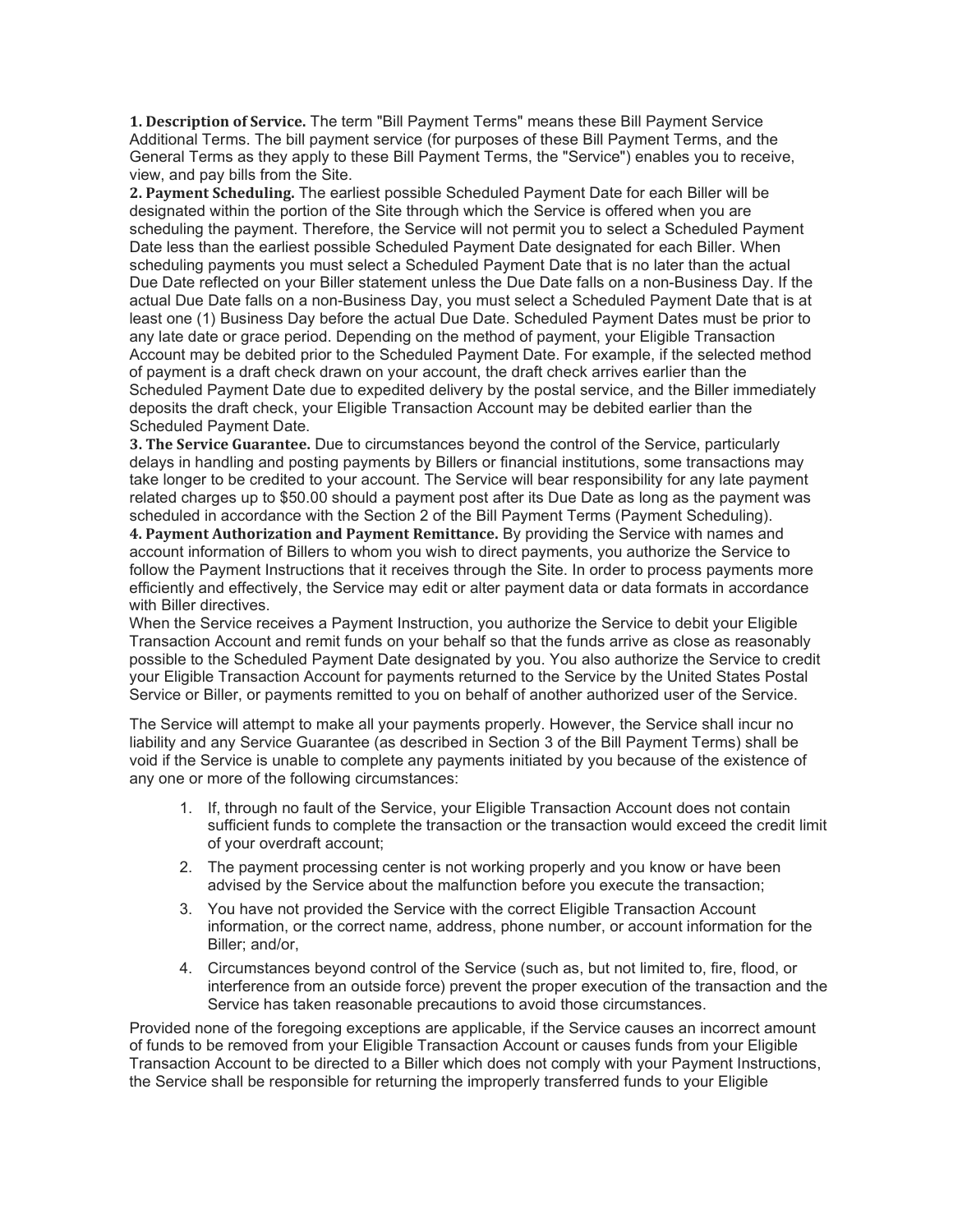**1. Description of Service.** The term "Bill Payment Terms" means these Bill Payment Service Additional Terms. The bill payment service (for purposes of these Bill Payment Terms, and the General Terms as they apply to these Bill Payment Terms, the "Service") enables you to receive, view, and pay bills from the Site.

**2. Payment Scheduling.** The earliest possible Scheduled Payment Date for each Biller will be designated within the portion of the Site through which the Service is offered when you are scheduling the payment. Therefore, the Service will not permit you to select a Scheduled Payment Date less than the earliest possible Scheduled Payment Date designated for each Biller. When scheduling payments you must select a Scheduled Payment Date that is no later than the actual Due Date reflected on your Biller statement unless the Due Date falls on a non-Business Day. If the actual Due Date falls on a non-Business Day, you must select a Scheduled Payment Date that is at least one (1) Business Day before the actual Due Date. Scheduled Payment Dates must be prior to any late date or grace period. Depending on the method of payment, your Eligible Transaction Account may be debited prior to the Scheduled Payment Date. For example, if the selected method of payment is a draft check drawn on your account, the draft check arrives earlier than the Scheduled Payment Date due to expedited delivery by the postal service, and the Biller immediately deposits the draft check, your Eligible Transaction Account may be debited earlier than the Scheduled Payment Date.

**3. The Service Guarantee.** Due to circumstances beyond the control of the Service, particularly delays in handling and posting payments by Billers or financial institutions, some transactions may take longer to be credited to your account. The Service will bear responsibility for any late payment related charges up to \$50.00 should a payment post after its Due Date as long as the payment was scheduled in accordance with the Section 2 of the Bill Payment Terms (Payment Scheduling).

**4. Payment Authorization and Payment Remittance.** By providing the Service with names and account information of Billers to whom you wish to direct payments, you authorize the Service to follow the Payment Instructions that it receives through the Site. In order to process payments more efficiently and effectively, the Service may edit or alter payment data or data formats in accordance with Biller directives.

When the Service receives a Payment Instruction, you authorize the Service to debit your Eligible Transaction Account and remit funds on your behalf so that the funds arrive as close as reasonably possible to the Scheduled Payment Date designated by you. You also authorize the Service to credit your Eligible Transaction Account for payments returned to the Service by the United States Postal Service or Biller, or payments remitted to you on behalf of another authorized user of the Service.

The Service will attempt to make all your payments properly. However, the Service shall incur no liability and any Service Guarantee (as described in Section 3 of the Bill Payment Terms) shall be void if the Service is unable to complete any payments initiated by you because of the existence of any one or more of the following circumstances:

- 1. If, through no fault of the Service, your Eligible Transaction Account does not contain sufficient funds to complete the transaction or the transaction would exceed the credit limit of your overdraft account;
- 2. The payment processing center is not working properly and you know or have been advised by the Service about the malfunction before you execute the transaction;
- 3. You have not provided the Service with the correct Eligible Transaction Account information, or the correct name, address, phone number, or account information for the Biller; and/or,
- 4. Circumstances beyond control of the Service (such as, but not limited to, fire, flood, or interference from an outside force) prevent the proper execution of the transaction and the Service has taken reasonable precautions to avoid those circumstances.

Provided none of the foregoing exceptions are applicable, if the Service causes an incorrect amount of funds to be removed from your Eligible Transaction Account or causes funds from your Eligible Transaction Account to be directed to a Biller which does not comply with your Payment Instructions, the Service shall be responsible for returning the improperly transferred funds to your Eligible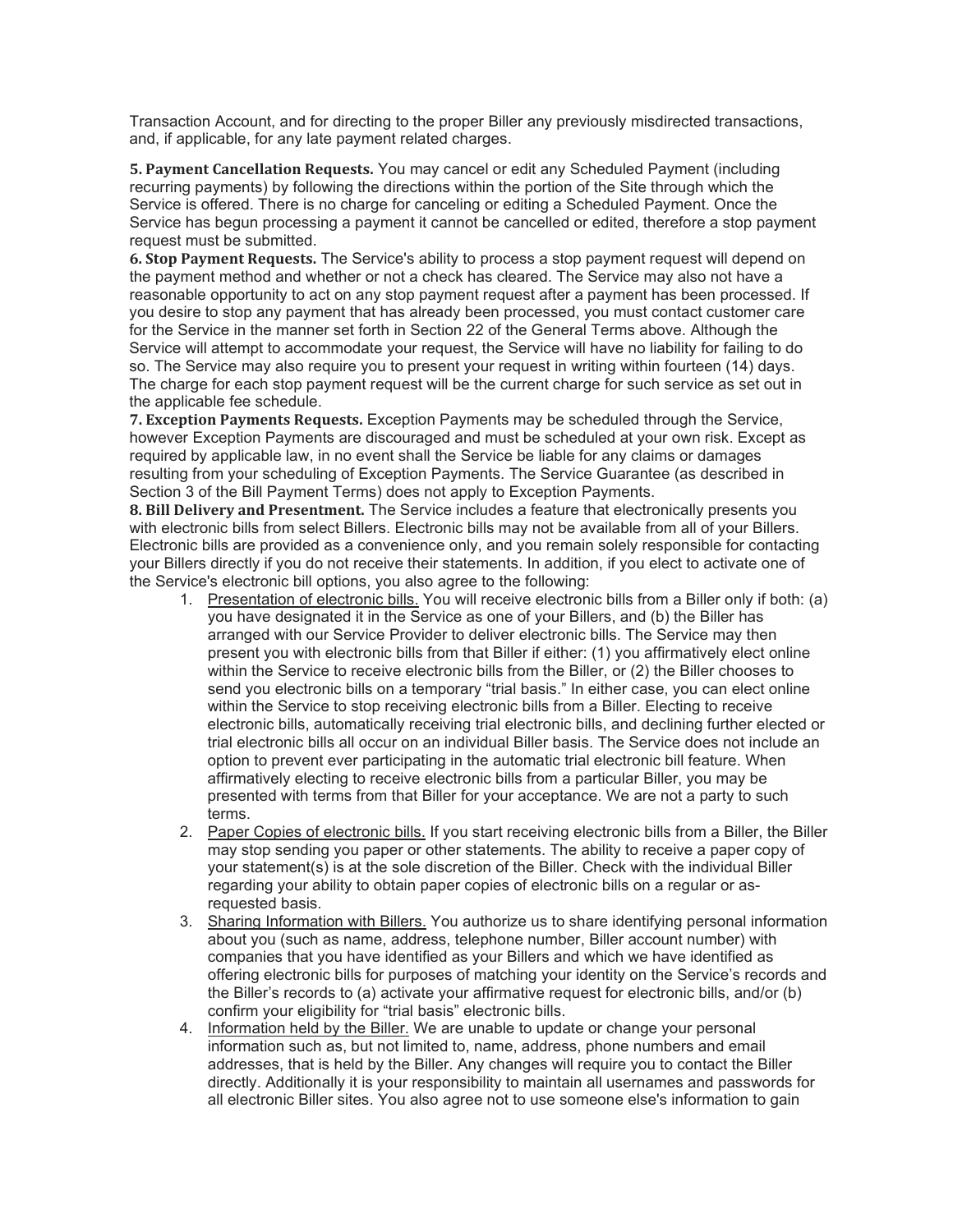Transaction Account, and for directing to the proper Biller any previously misdirected transactions, and, if applicable, for any late payment related charges.

**5. Payment Cancellation Requests.** You may cancel or edit any Scheduled Payment (including recurring payments) by following the directions within the portion of the Site through which the Service is offered. There is no charge for canceling or editing a Scheduled Payment. Once the Service has begun processing a payment it cannot be cancelled or edited, therefore a stop payment request must be submitted.

**6. Stop Payment Requests.** The Service's ability to process a stop payment request will depend on the payment method and whether or not a check has cleared. The Service may also not have a reasonable opportunity to act on any stop payment request after a payment has been processed. If you desire to stop any payment that has already been processed, you must contact customer care for the Service in the manner set forth in Section 22 of the General Terms above. Although the Service will attempt to accommodate your request, the Service will have no liability for failing to do so. The Service may also require you to present your request in writing within fourteen (14) days. The charge for each stop payment request will be the current charge for such service as set out in the applicable fee schedule.

**7. Exception Payments Requests.** Exception Payments may be scheduled through the Service, however Exception Payments are discouraged and must be scheduled at your own risk. Except as required by applicable law, in no event shall the Service be liable for any claims or damages resulting from your scheduling of Exception Payments. The Service Guarantee (as described in Section 3 of the Bill Payment Terms) does not apply to Exception Payments.

**8. Bill Delivery and Presentment.** The Service includes a feature that electronically presents you with electronic bills from select Billers. Electronic bills may not be available from all of your Billers. Electronic bills are provided as a convenience only, and you remain solely responsible for contacting your Billers directly if you do not receive their statements. In addition, if you elect to activate one of the Service's electronic bill options, you also agree to the following:

- 1. Presentation of electronic bills. You will receive electronic bills from a Biller only if both: (a) you have designated it in the Service as one of your Billers, and (b) the Biller has arranged with our Service Provider to deliver electronic bills. The Service may then present you with electronic bills from that Biller if either: (1) you affirmatively elect online within the Service to receive electronic bills from the Biller, or (2) the Biller chooses to send you electronic bills on a temporary "trial basis." In either case, you can elect online within the Service to stop receiving electronic bills from a Biller. Electing to receive electronic bills, automatically receiving trial electronic bills, and declining further elected or trial electronic bills all occur on an individual Biller basis. The Service does not include an option to prevent ever participating in the automatic trial electronic bill feature. When affirmatively electing to receive electronic bills from a particular Biller, you may be presented with terms from that Biller for your acceptance. We are not a party to such terms.
- 2. Paper Copies of electronic bills. If you start receiving electronic bills from a Biller, the Biller may stop sending you paper or other statements. The ability to receive a paper copy of your statement(s) is at the sole discretion of the Biller. Check with the individual Biller regarding your ability to obtain paper copies of electronic bills on a regular or asrequested basis.
- 3. Sharing Information with Billers. You authorize us to share identifying personal information about you (such as name, address, telephone number, Biller account number) with companies that you have identified as your Billers and which we have identified as offering electronic bills for purposes of matching your identity on the Service's records and the Biller's records to (a) activate your affirmative request for electronic bills, and/or (b) confirm your eligibility for "trial basis" electronic bills.
- 4. Information held by the Biller. We are unable to update or change your personal information such as, but not limited to, name, address, phone numbers and email addresses, that is held by the Biller. Any changes will require you to contact the Biller directly. Additionally it is your responsibility to maintain all usernames and passwords for all electronic Biller sites. You also agree not to use someone else's information to gain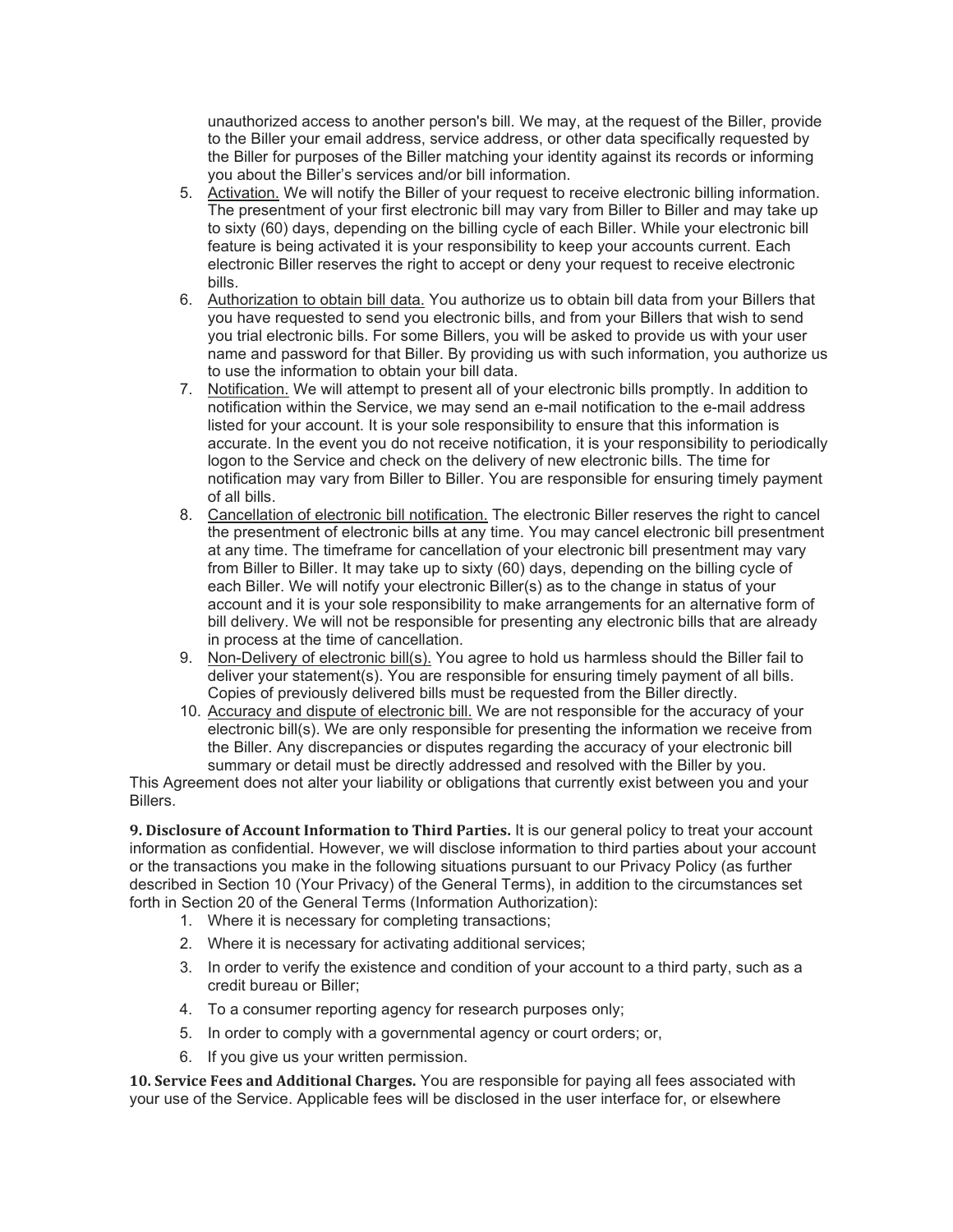unauthorized access to another person's bill. We may, at the request of the Biller, provide to the Biller your email address, service address, or other data specifically requested by the Biller for purposes of the Biller matching your identity against its records or informing you about the Biller's services and/or bill information.

- 5. Activation. We will notify the Biller of your request to receive electronic billing information. The presentment of your first electronic bill may vary from Biller to Biller and may take up to sixty (60) days, depending on the billing cycle of each Biller. While your electronic bill feature is being activated it is your responsibility to keep your accounts current. Each electronic Biller reserves the right to accept or deny your request to receive electronic bills.
- 6. Authorization to obtain bill data. You authorize us to obtain bill data from your Billers that you have requested to send you electronic bills, and from your Billers that wish to send you trial electronic bills. For some Billers, you will be asked to provide us with your user name and password for that Biller. By providing us with such information, you authorize us to use the information to obtain your bill data.
- 7. Notification. We will attempt to present all of your electronic bills promptly. In addition to notification within the Service, we may send an e-mail notification to the e-mail address listed for your account. It is your sole responsibility to ensure that this information is accurate. In the event you do not receive notification, it is your responsibility to periodically logon to the Service and check on the delivery of new electronic bills. The time for notification may vary from Biller to Biller. You are responsible for ensuring timely payment of all bills.
- 8. Cancellation of electronic bill notification. The electronic Biller reserves the right to cancel the presentment of electronic bills at any time. You may cancel electronic bill presentment at any time. The timeframe for cancellation of your electronic bill presentment may vary from Biller to Biller. It may take up to sixty (60) days, depending on the billing cycle of each Biller. We will notify your electronic Biller(s) as to the change in status of your account and it is your sole responsibility to make arrangements for an alternative form of bill delivery. We will not be responsible for presenting any electronic bills that are already in process at the time of cancellation.
- 9. Non-Delivery of electronic bill(s). You agree to hold us harmless should the Biller fail to deliver your statement(s). You are responsible for ensuring timely payment of all bills. Copies of previously delivered bills must be requested from the Biller directly.
- 10. Accuracy and dispute of electronic bill. We are not responsible for the accuracy of your electronic bill(s). We are only responsible for presenting the information we receive from the Biller. Any discrepancies or disputes regarding the accuracy of your electronic bill summary or detail must be directly addressed and resolved with the Biller by you.

This Agreement does not alter your liability or obligations that currently exist between you and your Billers.

**9. Disclosure of Account Information to Third Parties.** It is our general policy to treat your account information as confidential. However, we will disclose information to third parties about your account or the transactions you make in the following situations pursuant to our Privacy Policy (as further described in Section 10 (Your Privacy) of the General Terms), in addition to the circumstances set forth in Section 20 of the General Terms (Information Authorization):

- 1. Where it is necessary for completing transactions;
- 2. Where it is necessary for activating additional services;
- 3. In order to verify the existence and condition of your account to a third party, such as a credit bureau or Biller;
- 4. To a consumer reporting agency for research purposes only;
- 5. In order to comply with a governmental agency or court orders; or,
- 6. If you give us your written permission.

**10. Service Fees and Additional Charges.** You are responsible for paying all fees associated with your use of the Service. Applicable fees will be disclosed in the user interface for, or elsewhere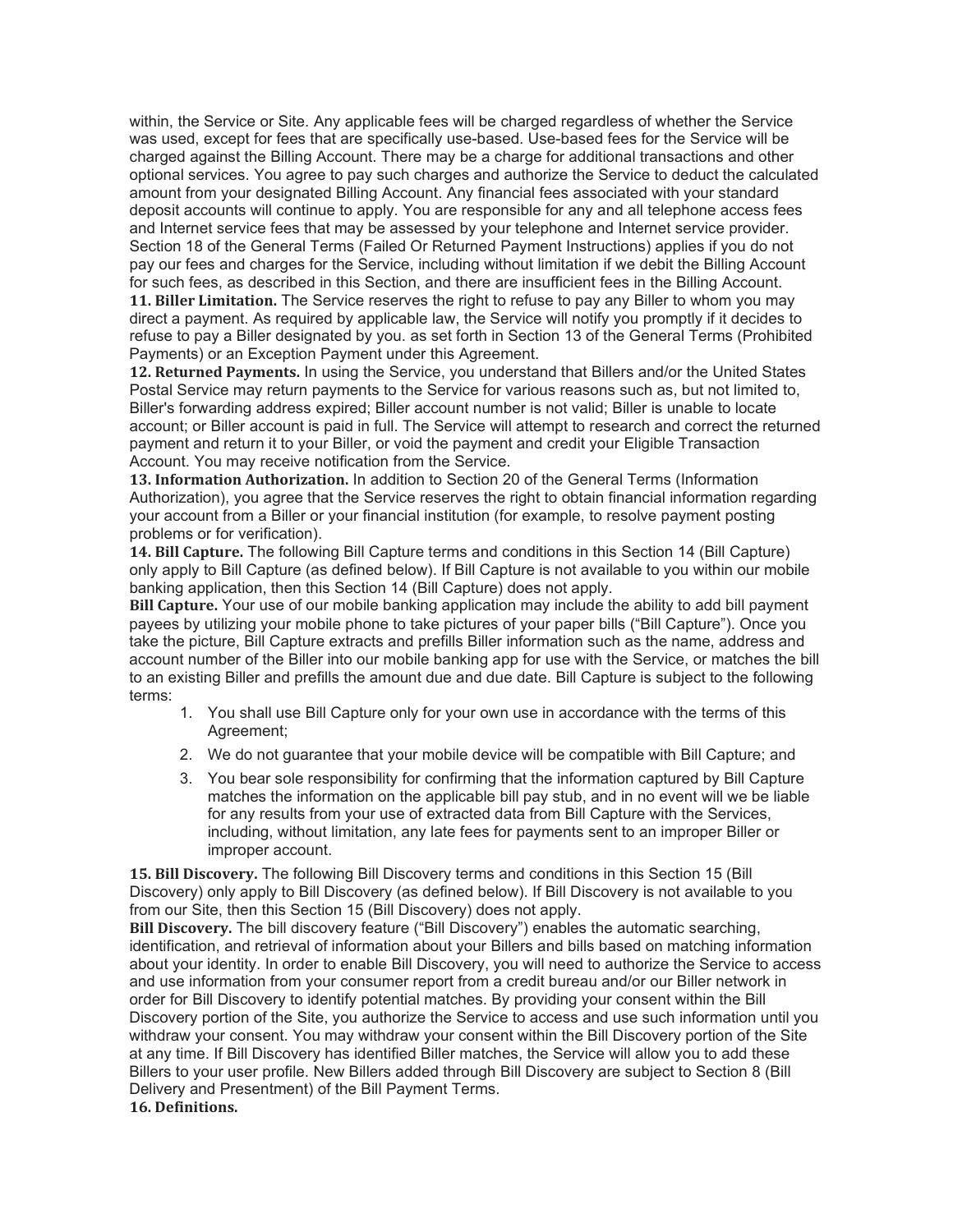within, the Service or Site. Any applicable fees will be charged regardless of whether the Service was used, except for fees that are specifically use-based. Use-based fees for the Service will be charged against the Billing Account. There may be a charge for additional transactions and other optional services. You agree to pay such charges and authorize the Service to deduct the calculated amount from your designated Billing Account. Any financial fees associated with your standard deposit accounts will continue to apply. You are responsible for any and all telephone access fees and Internet service fees that may be assessed by your telephone and Internet service provider. Section 18 of the General Terms (Failed Or Returned Payment Instructions) applies if you do not pay our fees and charges for the Service, including without limitation if we debit the Billing Account for such fees, as described in this Section, and there are insufficient fees in the Billing Account. **11. Biller Limitation.** The Service reserves the right to refuse to pay any Biller to whom you may direct a payment. As required by applicable law, the Service will notify you promptly if it decides to refuse to pay a Biller designated by you. as set forth in Section 13 of the General Terms (Prohibited Payments) or an Exception Payment under this Agreement.

**12. Returned Payments.** In using the Service, you understand that Billers and/or the United States Postal Service may return payments to the Service for various reasons such as, but not limited to, Biller's forwarding address expired; Biller account number is not valid; Biller is unable to locate account; or Biller account is paid in full. The Service will attempt to research and correct the returned payment and return it to your Biller, or void the payment and credit your Eligible Transaction Account. You may receive notification from the Service.

**13. Information Authorization.** In addition to Section 20 of the General Terms (Information Authorization), you agree that the Service reserves the right to obtain financial information regarding your account from a Biller or your financial institution (for example, to resolve payment posting problems or for verification).

**14. Bill Capture.** The following Bill Capture terms and conditions in this Section 14 (Bill Capture) only apply to Bill Capture (as defined below). If Bill Capture is not available to you within our mobile banking application, then this Section 14 (Bill Capture) does not apply.

**Bill Capture.** Your use of our mobile banking application may include the ability to add bill payment payees by utilizing your mobile phone to take pictures of your paper bills ("Bill Capture"). Once you take the picture, Bill Capture extracts and prefills Biller information such as the name, address and account number of the Biller into our mobile banking app for use with the Service, or matches the bill to an existing Biller and prefills the amount due and due date. Bill Capture is subject to the following terms:

- 1. You shall use Bill Capture only for your own use in accordance with the terms of this Agreement;
- 2. We do not guarantee that your mobile device will be compatible with Bill Capture; and
- 3. You bear sole responsibility for confirming that the information captured by Bill Capture matches the information on the applicable bill pay stub, and in no event will we be liable for any results from your use of extracted data from Bill Capture with the Services, including, without limitation, any late fees for payments sent to an improper Biller or improper account.

**15. Bill Discovery.** The following Bill Discovery terms and conditions in this Section 15 (Bill Discovery) only apply to Bill Discovery (as defined below). If Bill Discovery is not available to you from our Site, then this Section 15 (Bill Discovery) does not apply.

**Bill Discovery.** The bill discovery feature ("Bill Discovery") enables the automatic searching, identification, and retrieval of information about your Billers and bills based on matching information about your identity. In order to enable Bill Discovery, you will need to authorize the Service to access and use information from your consumer report from a credit bureau and/or our Biller network in order for Bill Discovery to identify potential matches. By providing your consent within the Bill Discovery portion of the Site, you authorize the Service to access and use such information until you withdraw your consent. You may withdraw your consent within the Bill Discovery portion of the Site at any time. If Bill Discovery has identified Biller matches, the Service will allow you to add these Billers to your user profile. New Billers added through Bill Discovery are subject to Section 8 (Bill Delivery and Presentment) of the Bill Payment Terms.

**16. Definitions.**